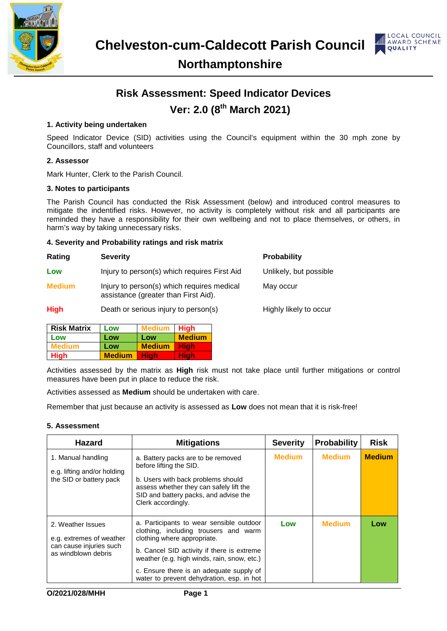



### **Northamptonshire**

## **Risk Assessment: Speed Indicator Devices Ver: 2.0 (8th March 2021)**

#### **1. Activity being undertaken**

Speed Indicator Device (SID) activities using the Council's equipment within the 30 mph zone by Councillors, staff and volunteers

#### **2. Assessor**

Mark Hunter, Clerk to the Parish Council.

#### **3. Notes to participants**

The Parish Council has conducted the Risk Assessment (below) and introduced control measures to mitigate the indentified risks. However, no activity is completely without risk and all participants are reminded they have a responsibility for their own wellbeing and not to place themselves, or others, in harm's way by taking unnecessary risks.

#### **4. Severity and Probability ratings and risk matrix**

| Rating        | <b>Severity</b>                                                                    | <b>Probability</b>     |
|---------------|------------------------------------------------------------------------------------|------------------------|
| Low           | Injury to person(s) which requires First Aid                                       | Unlikely, but possible |
| <b>Medium</b> | Injury to person(s) which requires medical<br>assistance (greater than First Aid). | May occur              |
| <b>High</b>   | Death or serious injury to person(s)                                               | Highly likely to occur |

| <b>Risk Matrix</b> | Low           | Medium        | <b>High</b>   |
|--------------------|---------------|---------------|---------------|
| Low                | Low           | Low           | <b>Medium</b> |
| Medium             | Low           | <b>Medium</b> | Hiah          |
| <b>High</b>        | <b>Medium</b> | Hiah          | Hiah          |

Activities assessed by the matrix as **High** risk must not take place until further mitigations or control measures have been put in place to reduce the risk.

Activities assessed as **Medium** should be undertaken with care.

Remember that just because an activity is assessed as **Low** does not mean that it is risk-free!

#### **5. Assessment**

| <b>Hazard</b>                                                                                   | <b>Mitigations</b>                                                                                                                                                                                                                                                                                     | <b>Severity</b> | <b>Probability</b> | <b>Risk</b>   |
|-------------------------------------------------------------------------------------------------|--------------------------------------------------------------------------------------------------------------------------------------------------------------------------------------------------------------------------------------------------------------------------------------------------------|-----------------|--------------------|---------------|
| 1. Manual handling<br>e.g. lifting and/or holding<br>the SID or battery pack                    | a. Battery packs are to be removed<br>before lifting the SID.<br>b. Users with back problems should<br>assess whether they can safely lift the<br>SID and battery packs, and advise the<br>Clerk accordingly.                                                                                          | <b>Medium</b>   | <b>Medium</b>      | <b>Medium</b> |
| 2. Weather Issues<br>e.g. extremes of weather<br>can cause injuries such<br>as windblown debris | a. Participants to wear sensible outdoor<br>clothing, including trousers and warm<br>clothing where appropriate.<br>b. Cancel SID activity if there is extreme<br>weather (e.g. high winds, rain, snow, etc.)<br>c. Ensure there is an adequate supply of<br>water to prevent dehydration, esp. in hot | Low             | <b>Medium</b>      | Low           |